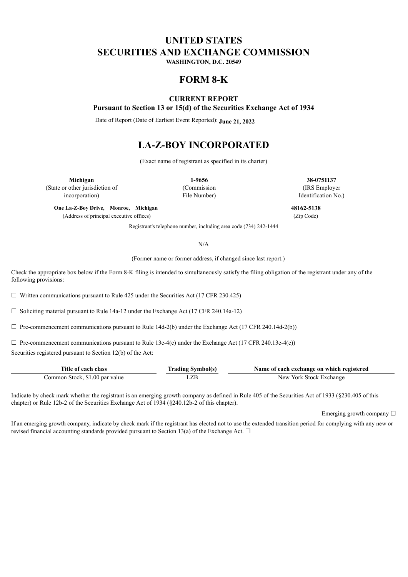# **UNITED STATES SECURITIES AND EXCHANGE COMMISSION**

**WASHINGTON, D.C. 20549**

# **FORM 8-K**

#### **CURRENT REPORT**

**Pursuant to Section 13 or 15(d) of the Securities Exchange Act of 1934**

Date of Report (Date of Earliest Event Reported): **June 21, 2022**

# **LA-Z-BOY INCORPORATED**

(Exact name of registrant as specified in its charter)

**One La-Z-Boy Drive, Monroe, Michigan 48162-5138** (Address of principal executive offices) (Zip Code)

Registrant's telephone number, including area code (734) 242-1444

N/A

(Former name or former address, if changed since last report.)

Check the appropriate box below if the Form 8-K filing is intended to simultaneously satisfy the filing obligation of the registrant under any of the following provisions:

 $\Box$  Written communications pursuant to Rule 425 under the Securities Act (17 CFR 230.425)

 $\Box$  Soliciting material pursuant to Rule 14a-12 under the Exchange Act (17 CFR 240.14a-12)

 $\Box$  Pre-commencement communications pursuant to Rule 14d-2(b) under the Exchange Act (17 CFR 240.14d-2(b))

 $\Box$  Pre-commencement communications pursuant to Rule 13e-4(c) under the Exchange Act (17 CFR 240.13e-4(c))

Securities registered pursuant to Section 12(b) of the Act:

| Title of each class            | <b>Trading Symbol(s)</b> | Name of each exchange on which registered |
|--------------------------------|--------------------------|-------------------------------------------|
| Common Stock, \$1.00 par value |                          | New York Stock Exchange                   |

Indicate by check mark whether the registrant is an emerging growth company as defined in Rule 405 of the Securities Act of 1933 (§230.405 of this chapter) or Rule 12b-2 of the Securities Exchange Act of 1934 (§240.12b-2 of this chapter).

Emerging growth company ☐

If an emerging growth company, indicate by check mark if the registrant has elected not to use the extended transition period for complying with any new or revised financial accounting standards provided pursuant to Section 13(a) of the Exchange Act.  $\Box$ 

**Michigan 1-9656 38-0751137** (State or other jurisdiction of (Commission (IRS Employer incorporation) File Number) File Number and The Internation No.)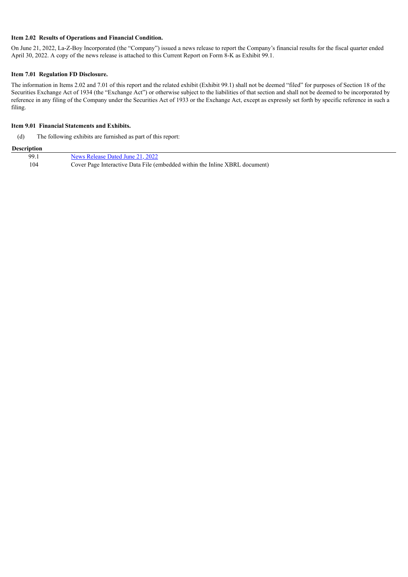#### **Item 2.02 Results of Operations and Financial Condition.**

On June 21, 2022, La-Z-Boy Incorporated (the "Company") issued a news release to report the Company's financial results for the fiscal quarter ended April 30, 2022. A copy of the news release is attached to this Current Report on Form 8-K as Exhibit 99.1.

#### **Item 7.01 Regulation FD Disclosure.**

The information in Items 2.02 and 7.01 of this report and the related exhibit (Exhibit 99.1) shall not be deemed "filed" for purposes of Section 18 of the Securities Exchange Act of 1934 (the "Exchange Act") or otherwise subject to the liabilities of that section and shall not be deemed to be incorporated by reference in any filing of the Company under the Securities Act of 1933 or the Exchange Act, except as expressly set forth by specific reference in such a filing.

#### **Item 9.01 Financial Statements and Exhibits.**

(d) The following exhibits are furnished as part of this report:

#### **Description**

| 99.1 | News Release Dated June 21, 2022                                            |
|------|-----------------------------------------------------------------------------|
| 104  | Cover Page Interactive Data File (embedded within the Inline XBRL document) |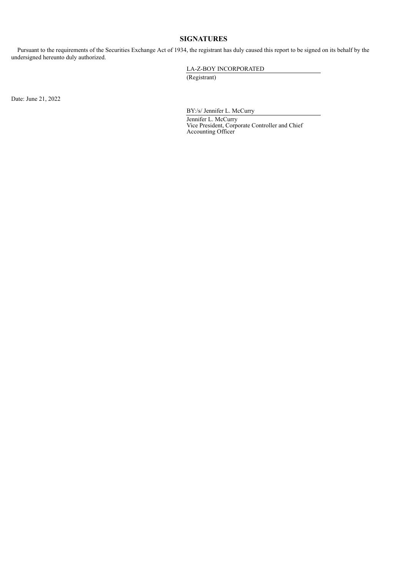# **SIGNATURES**

Pursuant to the requirements of the Securities Exchange Act of 1934, the registrant has duly caused this report to be signed on its behalf by the undersigned hereunto duly authorized.

#### LA-Z-BOY INCORPORATED

(Registrant)

Date: June 21, 2022

BY:/s/ Jennifer L. McCurry

Jennifer L. McCurry Vice President, Corporate Controller and Chief Accounting Officer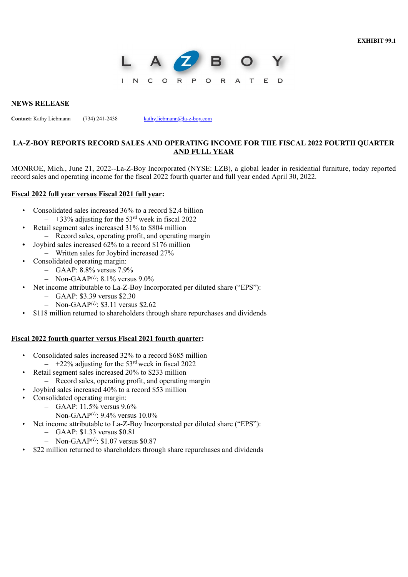**EXHIBIT 99.1**



#### <span id="page-3-0"></span>**NEWS RELEASE**

**Contact:** Kathy Liebmann (734) 241-2438 kathy.liebmann@la-z-boy.com

## **LA-Z-BOY REPORTS RECORD SALES AND OPERATING INCOME FOR THE FISCAL 2022 FOURTH QUARTER AND FULL YEAR**

MONROE, Mich., June 21, 2022--La-Z-Boy Incorporated (NYSE: LZB), a global leader in residential furniture, today reported record sales and operating income for the fiscal 2022 fourth quarter and full year ended April 30, 2022.

#### **Fiscal 2022 full year versus Fiscal 2021 full year:**

- Consolidated sales increased 36% to a record \$2.4 billion
	- $-$  +33% adjusting for the 53<sup>rd</sup> week in fiscal 2022
- Retail segment sales increased 31% to \$804 million – Record sales, operating profit, and operating margin
- **•** Joybird sales increased 62% to a record \$176 million **–** Written sales for Joybird increased 27%
- Consolidated operating margin:
	- GAAP: 8.8% versus 7.9%
	- $-$  Non-GAAP<sup>(1)</sup>: 8.1% versus 9.0%
- Net income attributable to La-Z-Boy Incorporated per diluted share ("EPS"):
	- GAAP: \$3.39 versus \$2.30
		- $-$  Non-GAAP<sup>(1)</sup>: \$3.11 versus \$2.62
- \$118 million returned to shareholders through share repurchases and dividends

#### **Fiscal 2022 fourth quarter versus Fiscal 2021 fourth quarter:**

- Consolidated sales increased 32% to a record \$685 million
	- $-$  +22% adjusting for the 53<sup>rd</sup> week in fiscal 2022
- Retail segment sales increased 20% to \$233 million
- Record sales, operating profit, and operating margin
- Joybird sales increased 40% to a record \$53 million
- Consolidated operating margin:
	- GAAP: 11.5% versus 9.6%
	- $-$  Non-GAAP<sup>(1)</sup>: 9.4% versus 10.0%
- Net income attributable to La-Z-Boy Incorporated per diluted share ("EPS"):
	- GAAP: \$1.33 versus \$0.81
	- $-$  Non-GAAP<sup>(1)</sup>: \$1.07 versus \$0.87
- \$22 million returned to shareholders through share repurchases and dividends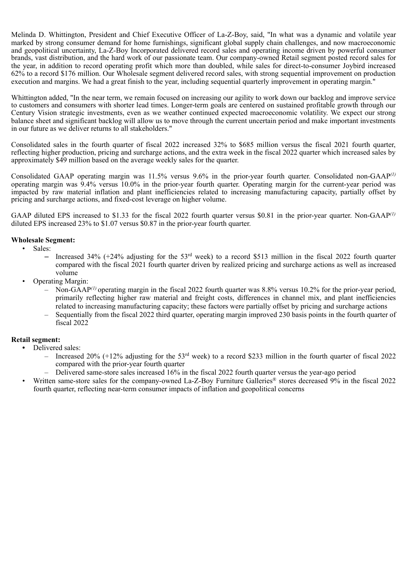Melinda D. Whittington, President and Chief Executive Officer of La-Z-Boy, said, "In what was a dynamic and volatile year marked by strong consumer demand for home furnishings, significant global supply chain challenges, and now macroeconomic and geopolitical uncertainty, La-Z-Boy Incorporated delivered record sales and operating income driven by powerful consumer brands, vast distribution, and the hard work of our passionate team. Our company-owned Retail segment posted record sales for the year, in addition to record operating profit which more than doubled, while sales for direct-to-consumer Joybird increased 62% to a record \$176 million. Our Wholesale segment delivered record sales, with strong sequential improvement on production execution and margins. We had a great finish to the year, including sequential quarterly improvement in operating margin."

Whittington added, "In the near term, we remain focused on increasing our agility to work down our backlog and improve service to customers and consumers with shorter lead times. Longer-term goals are centered on sustained profitable growth through our Century Vision strategic investments, even as we weather continued expected macroeconomic volatility. We expect our strong balance sheet and significant backlog will allow us to move through the current uncertain period and make important investments in our future as we deliver returns to all stakeholders."

Consolidated sales in the fourth quarter of fiscal 2022 increased 32% to \$685 million versus the fiscal 2021 fourth quarter, reflecting higher production, pricing and surcharge actions, and the extra week in the fiscal 2022 quarter which increased sales by approximately \$49 million based on the average weekly sales for the quarter.

Consolidated GAAP operating margin was 11.5% versus 9.6% in the prior-year fourth quarter. Consolidated non-GAAP<sup>(1)</sup> operating margin was 9.4% versus 10.0% in the prior-year fourth quarter. Operating margin for the current-year period was impacted by raw material inflation and plant inefficiencies related to increasing manufacturing capacity, partially offset by pricing and surcharge actions, and fixed-cost leverage on higher volume.

GAAP diluted EPS increased to \$1.33 for the fiscal 2022 fourth quarter versus \$0.81 in the prior-year quarter. Non-GAAP<sup>(1)</sup> diluted EPS increased 23% to \$1.07 versus \$0.87 in the prior-year fourth quarter.

#### **Wholesale Segment:**

- Sales:
	- Increased 34% ( $+24\%$  adjusting for the 53<sup>rd</sup> week) to a record \$513 million in the fiscal 2022 fourth quarter compared with the fiscal 2021 fourth quarter driven by realized pricing and surcharge actions as well as increased volume
- Operating Margin:
	- $-$  Non-GAAP<sup>(1)</sup> operating margin in the fiscal 2022 fourth quarter was 8.8% versus 10.2% for the prior-year period, primarily reflecting higher raw material and freight costs, differences in channel mix, and plant inefficiencies related to increasing manufacturing capacity; these factors were partially offset by pricing and surcharge actions
	- Sequentially from the fiscal 2022 third quarter, operating margin improved 230 basis points in the fourth quarter of fiscal 2022

#### **Retail segment:**

- **•** Delivered sales:
	- Increased 20%  $(+12%$  adjusting for the 53<sup>rd</sup> week) to a record \$233 million in the fourth quarter of fiscal 2022 compared with the prior-year fourth quarter
	- Delivered same-store sales increased 16% in the fiscal 2022 fourth quarter versus the year-ago period
- Written same-store sales for the company-owned La-Z-Boy Furniture Galleries® stores decreased 9% in the fiscal 2022 fourth quarter, reflecting near-term consumer impacts of inflation and geopolitical concerns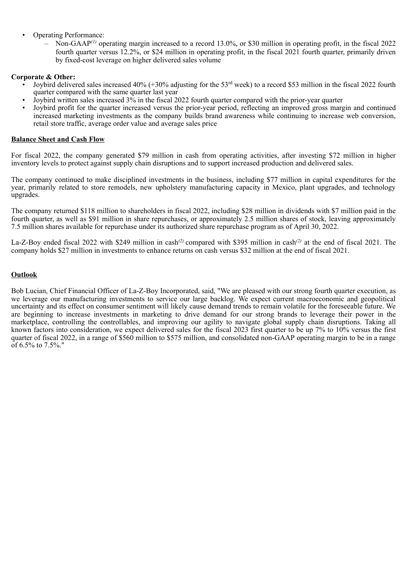- Operating Performance:
	- $-$  Non-GAAP<sup>(1)</sup> operating margin increased to a record 13.0%, or \$30 million in operating profit, in the fiscal 2022 fourth quarter versus 12.2%, or \$24 million in operating profit, in the fiscal 2021 fourth quarter, primarily driven by fixed-cost leverage on higher delivered sales volume

### **Corporate & Other:**

- Joybird delivered sales increased 40% (+30% adjusting for the 53<sup>rd</sup> week) to a record \$53 million in the fiscal 2022 fourth quarter compared with the same quarter last year
- Joybird written sales increased 3% in the fiscal 2022 fourth quarter compared with the prior-year quarter
- Joybird profit for the quarter increased versus the prior-year period, reflecting an improved gross margin and continued increased marketing investments as the company builds brand awareness while continuing to increase web conversion, retail store traffic, average order value and average sales price

#### **Balance Sheet and Cash Flow**

For fiscal 2022, the company generated \$79 million in cash from operating activities, after investing \$72 million in higher inventory levels to protect against supply chain disruptions and to support increased production and delivered sales.

The company continued to make disciplined investments in the business, including \$77 million in capital expenditures for the year, primarily related to store remodels, new upholstery manufacturing capacity in Mexico, plant upgrades, and technology upgrades.

The company returned \$118 million to shareholders in fiscal 2022, including \$28 million in dividends with \$7 million paid in the fourth quarter, as well as \$91 million in share repurchases, or approximately 2.5 million shares of stock, leaving approximately 7.5 million shares available for repurchase under its authorized share repurchase program as of April 30, 2022.

La-Z-Boy ended fiscal 2022 with \$249 million in cash<sup>(2)</sup> compared with \$395 million in cash<sup>(2)</sup> at the end of fiscal 2021. The company holds \$27 million in investments to enhance returns on cash versus \$32 million at the end of fiscal 2021.

### **Outlook**

Bob Lucian, Chief Financial Officer of La-Z-Boy Incorporated, said, "We are pleased with our strong fourth quarter execution, as we leverage our manufacturing investments to service our large backlog. We expect current macroeconomic and geopolitical uncertainty and its effect on consumer sentiment will likely cause demand trends to remain volatile for the foreseeable future. We are beginning to increase investments in marketing to drive demand for our strong brands to leverage their power in the marketplace, controlling the controllables, and improving our agility to navigate global supply chain disruptions. Taking all known factors into consideration, we expect delivered sales for the fiscal 2023 first quarter to be up 7% to 10% versus the first quarter of fiscal 2022, in a range of \$560 million to \$575 million, and consolidated non-GAAP operating margin to be in a range of 6.5% to 7.5%."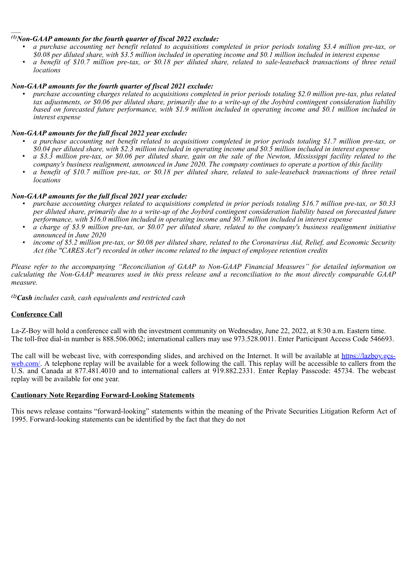#### *Non-GAAP amounts for the fourth quarter of fiscal 2022 exclude: (1)*

- *• a purchase accounting net benefit related to acquisitions completed in prior periods totaling \$3.4 million pre-tax, or \$0.08 per diluted share, with \$3.5 million included in operating income and \$0.1 million included in interest expense*
- *• a benefit of \$10.7 million pre-tax, or \$0.18 per diluted share, related to sale-leaseback transactions of three retail locations*

#### *Non-GAAP amounts for the fourth quarter of fiscal 2021 exclude:*

*• purchase accounting charges related to acquisitions completed in prior periods totaling \$2.0 million pre-tax, plus related tax adjustments, or \$0.06 per diluted share, primarily due to a write-up of the Joybird contingent consideration liability based on forecasted future performance, with \$1.9 million included in operating income and \$0.1 million included in interest expense*

### *Non-GAAP amounts for the full fiscal 2022 year exclude:*

- *• a purchase accounting net benefit related to acquisitions completed in prior periods totaling \$1.7 million pre-tax, or \$0.04 per diluted share, with \$2.3 million included in operating income and \$0.5 million included in interest expense*
- *a \$3.3 million pre-tax, or \$0.06 per diluted share, gain on the sale of the Newton, Mississippi facility related to the company's business realignment, announced in June 2020. The company continues to operate a portion of this facility*
- *• a benefit of \$10.7 million pre-tax, or \$0.18 per diluted share, related to sale-leaseback transactions of three retail locations*

### *Non-GAAP amounts for the full fiscal 2021 year exclude:*

- *• purchase accounting charges related to acquisitions completed in prior periods totaling \$16.7 million pre-tax, or \$0.33 per diluted share, primarily due to a write-up of the Joybird contingent consideration liability based on forecasted future performance, with \$16.0 million included in operating income and \$0.7 million included in interest expense*
- *• a charge of \$3.9 million pre-tax, or \$0.07 per diluted share, related to the company's business realignment initiative announced in June 2020*
- *• income of \$5.2 million pre-tax, or \$0.08 per diluted share, related to the Coronavirus Aid, Relief, and Economic Security Act (the "CARES Act") recorded in other income related to the impact of employee retention credits*

*Please refer to the accompanying "Reconciliation of GAAP to Non-GAAP Financial Measures" for detailed information on calculating the Non-GAAP measures used in this press release and a reconciliation to the most directly comparable GAAP measure.*

*Cash includes cash, cash equivalents and restricted cash (2)*

#### **Conference Call**

*\_\_\_\_\_*

La-Z-Boy will hold a conference call with the investment community on Wednesday, June 22, 2022, at 8:30 a.m. Eastern time. The toll-free dial-in number is 888.506.0062; international callers may use 973.528.0011. Enter Participant Access Code 546693.

The call will be webcast live, with corresponding slides, and archived on the Internet. It will be available at https://lazboy.gcsweb.com/. A telephone replay will be available for a week following the call. This replay will be accessible to callers from the U.S. and Canada at 877.481.4010 and to international callers at 919.882.2331. Enter Replay Passcode: 45734. The webcast replay will be available for one year.

#### **Cautionary Note Regarding Forward-Looking Statements**

This news release contains "forward-looking" statements within the meaning of the Private Securities Litigation Reform Act of 1995. Forward-looking statements can be identified by the fact that they do not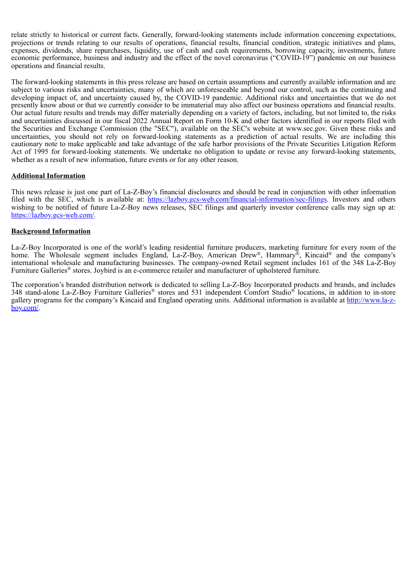relate strictly to historical or current facts. Generally, forward-looking statements include information concerning expectations, projections or trends relating to our results of operations, financial results, financial condition, strategic initiatives and plans, expenses, dividends, share repurchases, liquidity, use of cash and cash requirements, borrowing capacity, investments, future economic performance, business and industry and the effect of the novel coronavirus ("COVID-19") pandemic on our business operations and financial results.

The forward-looking statements in this press release are based on certain assumptions and currently available information and are subject to various risks and uncertainties, many of which are unforeseeable and beyond our control, such as the continuing and developing impact of, and uncertainty caused by, the COVID-19 pandemic. Additional risks and uncertainties that we do not presently know about or that we currently consider to be immaterial may also affect our business operations and financial results. Our actual future results and trends may differ materially depending on a variety of factors, including, but not limited to, the risks and uncertainties discussed in our fiscal 2022 Annual Report on Form 10-K and other factors identified in our reports filed with the Securities and Exchange Commission (the "SEC"), available on the SEC's website at www.sec.gov. Given these risks and uncertainties, you should not rely on forward-looking statements as a prediction of actual results. We are including this cautionary note to make applicable and take advantage of the safe harbor provisions of the Private Securities Litigation Reform Act of 1995 for forward-looking statements. We undertake no obligation to update or revise any forward-looking statements, whether as a result of new information, future events or for any other reason.

#### **Additional Information**

This news release is just one part of La-Z-Boy's financial disclosures and should be read in conjunction with other information filed with the SEC, which is available at: https://lazboy.gcs-web.com/financial-information/sec-filings. Investors and others wishing to be notified of future La-Z-Boy news releases. SEC filings and quarterly investor conference calls may sign up at: https://lazboy.gcs-web.com/.

#### **Background Information**

La-Z-Boy Incorporated is one of the world's leading residential furniture producers, marketing furniture for every room of the home. The Wholesale segment includes England, La-Z-Boy, American Drew®, Hammary<sup>®</sup>, Kincaid® and the company's international wholesale and manufacturing businesses. The company-owned Retail segment includes 161 of the 348 La-Z-Boy Furniture Galleries® stores. Joybird is an e-commerce retailer and manufacturer of upholstered furniture.

The corporation's branded distribution network is dedicated to selling La-Z-Boy Incorporated products and brands, and includes 348 stand-alone La-Z-Boy Furniture Galleries<sup>®</sup> stores and 531 independent Comfort Studio<sup>®</sup> locations, in addition to in-store gallery programs for the company's Kincaid and England operating units. Additional information is available at http://www.la-zboy.com/.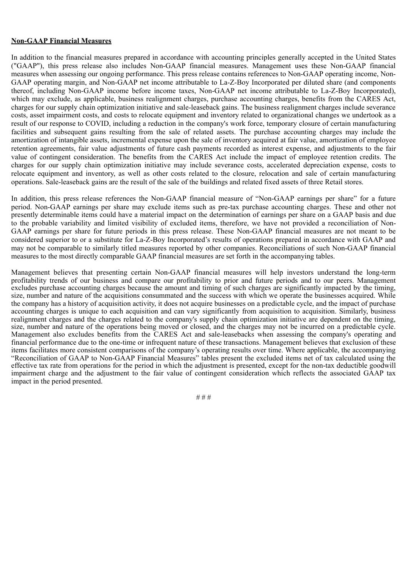#### **Non-GAAP Financial Measures**

In addition to the financial measures prepared in accordance with accounting principles generally accepted in the United States ("GAAP"), this press release also includes Non-GAAP financial measures. Management uses these Non-GAAP financial measures when assessing our ongoing performance. This press release contains references to Non-GAAP operating income, Non-GAAP operating margin, and Non-GAAP net income attributable to La-Z-Boy Incorporated per diluted share (and components thereof, including Non-GAAP income before income taxes, Non-GAAP net income attributable to La-Z-Boy Incorporated), which may exclude, as applicable, business realignment charges, purchase accounting charges, benefits from the CARES Act, charges for our supply chain optimization initiative and sale-leaseback gains. The business realignment charges include severance costs, asset impairment costs, and costs to relocate equipment and inventory related to organizational changes we undertook as a result of our response to COVID, including a reduction in the company's work force, temporary closure of certain manufacturing facilities and subsequent gains resulting from the sale of related assets. The purchase accounting charges may include the amortization of intangible assets, incremental expense upon the sale of inventory acquired at fair value, amortization of employee retention agreements, fair value adjustments of future cash payments recorded as interest expense, and adjustments to the fair value of contingent consideration. The benefits from the CARES Act include the impact of employee retention credits. The charges for our supply chain optimization initiative may include severance costs, accelerated depreciation expense, costs to relocate equipment and inventory, as well as other costs related to the closure, relocation and sale of certain manufacturing operations. Sale-leaseback gains are the result of the sale of the buildings and related fixed assets of three Retail stores.

In addition, this press release references the Non-GAAP financial measure of "Non-GAAP earnings per share" for a future period. Non-GAAP earnings per share may exclude items such as pre-tax purchase accounting charges. These and other not presently determinable items could have a material impact on the determination of earnings per share on a GAAP basis and due to the probable variability and limited visibility of excluded items, therefore, we have not provided a reconciliation of Non-GAAP earnings per share for future periods in this press release. These Non-GAAP financial measures are not meant to be considered superior to or a substitute for La-Z-Boy Incorporated's results of operations prepared in accordance with GAAP and may not be comparable to similarly titled measures reported by other companies. Reconciliations of such Non-GAAP financial measures to the most directly comparable GAAP financial measures are set forth in the accompanying tables.

Management believes that presenting certain Non-GAAP financial measures will help investors understand the long-term profitability trends of our business and compare our profitability to prior and future periods and to our peers. Management excludes purchase accounting charges because the amount and timing of such charges are significantly impacted by the timing, size, number and nature of the acquisitions consummated and the success with which we operate the businesses acquired. While the company has a history of acquisition activity, it does not acquire businesses on a predictable cycle, and the impact of purchase accounting charges is unique to each acquisition and can vary significantly from acquisition to acquisition. Similarly, business realignment charges and the charges related to the company's supply chain optimization initiative are dependent on the timing, size, number and nature of the operations being moved or closed, and the charges may not be incurred on a predictable cycle. Management also excludes benefits from the CARES Act and sale-leasebacks when assessing the company's operating and financial performance due to the one-time or infrequent nature of these transactions. Management believes that exclusion of these items facilitates more consistent comparisons of the company's operating results over time. Where applicable, the accompanying "Reconciliation of GAAP to Non-GAAP Financial Measures" tables present the excluded items net of tax calculated using the effective tax rate from operations for the period in which the adjustment is presented, except for the non-tax deductible goodwill impairment charge and the adjustment to the fair value of contingent consideration which reflects the associated GAAP tax impact in the period presented.

# # #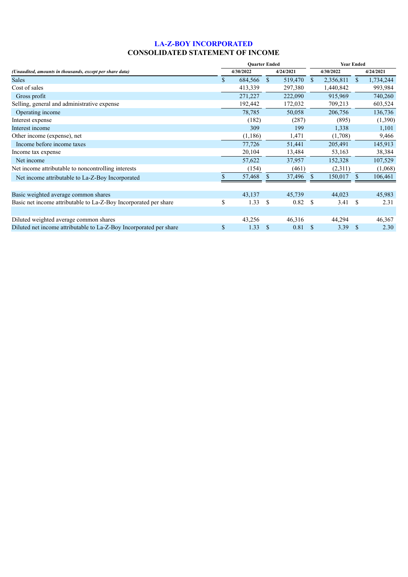# **LA-Z-BOY INCORPORATED CONSOLIDATED STATEMENT OF INCOME**

|                                                                    | <b>Ouarter Ended</b> |               | <b>Year Ended</b> |               |           |               |           |  |  |
|--------------------------------------------------------------------|----------------------|---------------|-------------------|---------------|-----------|---------------|-----------|--|--|
| (Unaudited, amounts in thousands, except per share data)           | 4/30/2022            |               | 4/24/2021         |               | 4/30/2022 |               | 4/24/2021 |  |  |
| <b>Sales</b>                                                       | \$<br>684,566        | <sup>S</sup>  | 519,470           | <sup>S</sup>  | 2,356,811 | <sup>\$</sup> | 1,734,244 |  |  |
| Cost of sales                                                      | 413,339              |               | 297,380           |               | 1,440,842 |               | 993,984   |  |  |
| Gross profit                                                       | 271,227              |               | 222,090           |               | 915,969   |               | 740,260   |  |  |
| Selling, general and administrative expense                        | 192,442              |               | 172,032           |               | 709,213   |               | 603,524   |  |  |
| Operating income                                                   | 78,785               |               | 50,058            |               | 206,756   |               | 136,736   |  |  |
| Interest expense                                                   | (182)                |               | (287)             |               | (895)     |               | (1,390)   |  |  |
| Interest income                                                    | 309                  |               | 199               |               | 1,338     |               | 1,101     |  |  |
| Other income (expense), net                                        | (1,186)              |               | 1,471             |               | (1,708)   |               | 9,466     |  |  |
| Income before income taxes                                         | 77,726               |               | 51,441            |               | 205,491   |               | 145,913   |  |  |
| Income tax expense                                                 | 20,104               |               | 13,484            |               | 53,163    |               | 38,384    |  |  |
| Net income                                                         | 57,622               |               | 37,957            |               | 152,328   |               | 107,529   |  |  |
| Net income attributable to noncontrolling interests                | (154)                |               | (461)             |               | (2,311)   |               | (1,068)   |  |  |
| Net income attributable to La-Z-Boy Incorporated                   | 57,468               | <sup>\$</sup> | 37,496            | S.            | 150,017   | $\mathbb{S}$  | 106,461   |  |  |
|                                                                    |                      |               |                   |               |           |               |           |  |  |
| Basic weighted average common shares                               | 43,137               |               | 45,739            |               | 44,023    |               | 45,983    |  |  |
| Basic net income attributable to La-Z-Boy Incorporated per share   | \$<br>1.33           | <sup>\$</sup> | 0.82              | <sup>\$</sup> | 3.41      | \$            | 2.31      |  |  |
| Diluted weighted average common shares                             | 43,256               |               | 46,316            |               | 44,294    |               | 46,367    |  |  |
| Diluted net income attributable to La-Z-Boy Incorporated per share | \$<br>1.33           | \$            | 0.81              | \$            | 3.39      | <sup>\$</sup> | 2.30      |  |  |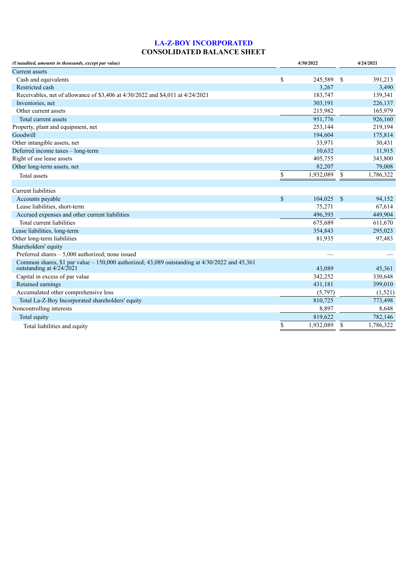# **LA-Z-BOY INCORPORATED CONSOLIDATED BALANCE SHEET**

| (Unaudited, amounts in thousands, except par value)                                                                          | 4/30/2022       | 4/24/2021     |           |
|------------------------------------------------------------------------------------------------------------------------------|-----------------|---------------|-----------|
| <b>Current assets</b>                                                                                                        |                 |               |           |
| Cash and equivalents                                                                                                         | \$<br>245,589   | <sup>\$</sup> | 391,213   |
| Restricted cash                                                                                                              | 3,267           |               | 3,490     |
| Receivables, net of allowance of \$3,406 at 4/30/2022 and \$4,011 at 4/24/2021                                               | 183,747         |               | 139,341   |
| Inventories, net                                                                                                             | 303,191         |               | 226,137   |
| Other current assets                                                                                                         | 215,982         |               | 165,979   |
| Total current assets                                                                                                         | 951,776         |               | 926,160   |
| Property, plant and equipment, net                                                                                           | 253,144         |               | 219,194   |
| Goodwill                                                                                                                     | 194,604         |               | 175,814   |
| Other intangible assets, net                                                                                                 | 33,971          |               | 30,431    |
| Deferred income taxes - long-term                                                                                            | 10,632          |               | 11,915    |
| Right of use lease assets                                                                                                    | 405,755         |               | 343,800   |
| Other long-term assets, net                                                                                                  | 82,207          |               | 79,008    |
| <b>Total</b> assets                                                                                                          | \$<br>1,932,089 | <sup>\$</sup> | 1,786,322 |
|                                                                                                                              |                 |               |           |
| <b>Current liabilities</b>                                                                                                   |                 |               |           |
| Accounts payable                                                                                                             | \$<br>104,025   | $\mathcal{S}$ | 94,152    |
| Lease liabilities, short-term                                                                                                | 75,271          |               | 67,614    |
| Accrued expenses and other current liabilities                                                                               | 496,393         |               | 449,904   |
| Total current liabilities                                                                                                    | 675,689         |               | 611,670   |
| Lease liabilities, long-term                                                                                                 | 354,843         |               | 295,023   |
| Other long-term liabilities                                                                                                  | 81,935          |               | 97,483    |
| Shareholders' equity                                                                                                         |                 |               |           |
| Preferred shares $-5,000$ authorized; none issued                                                                            |                 |               |           |
| Common shares, \$1 par value $-150,000$ authorized; 43,089 outstanding at 4/30/2022 and 45,361<br>outstanding at $4/24/2021$ | 43,089          |               | 45,361    |
| Capital in excess of par value                                                                                               | 342,252         |               | 330,648   |
| Retained earnings                                                                                                            | 431,181         |               | 399,010   |
| Accumulated other comprehensive loss                                                                                         | (5,797)         |               | (1,521)   |
| Total La-Z-Boy Incorporated shareholders' equity                                                                             | 810,725         |               | 773,498   |
| Noncontrolling interests                                                                                                     | 8,897           |               | 8,648     |
| Total equity                                                                                                                 | 819,622         |               | 782,146   |
| Total liabilities and equity                                                                                                 | \$<br>1,932,089 | \$            | 1,786,322 |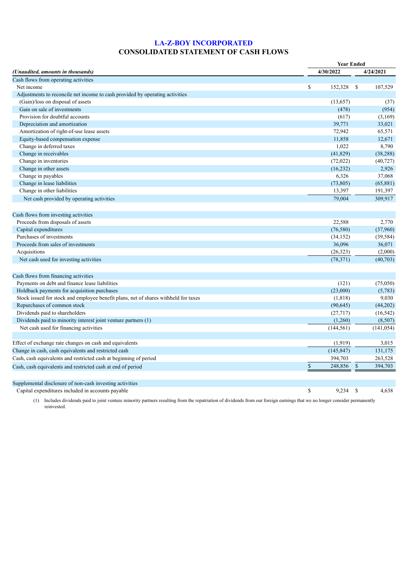# **LA-Z-BOY INCORPORATED CONSOLIDATED STATEMENT OF CASH FLOWS**

|                                                                                     | <b>Year Ended</b>        |                         |
|-------------------------------------------------------------------------------------|--------------------------|-------------------------|
| (Unaudited, amounts in thousands)                                                   | 4/30/2022                | 4/24/2021               |
| Cash flows from operating activities                                                |                          |                         |
| Net income                                                                          | \$<br>152,328 \$         | 107,529                 |
| Adjustments to reconcile net income to cash provided by operating activities        |                          |                         |
| (Gain)/loss on disposal of assets                                                   | (13, 657)                | (37)                    |
| Gain on sale of investments                                                         | (478)                    | (954)                   |
| Provision for doubtful accounts                                                     | (617)                    | (3,169)                 |
| Depreciation and amortization                                                       | 39,771                   | 33,021                  |
| Amortization of right-of-use lease assets                                           | 72,942                   | 65,571                  |
| Equity-based compensation expense                                                   | 11,858                   | 12,671                  |
| Change in deferred taxes                                                            | 1,022                    | 8,790                   |
| Change in receivables                                                               | (41, 829)                | (38, 288)               |
| Change in inventories                                                               | (72, 022)                | (40, 727)               |
| Change in other assets                                                              | (16, 232)                | 2,926                   |
| Change in payables                                                                  | 6,326                    | 37,068                  |
| Change in lease liabilities                                                         | (73,805)                 | (65, 881)               |
| Change in other liabilities                                                         | 13,397                   | 191,397                 |
| Net cash provided by operating activities                                           | 79.004                   | 309,917                 |
| Cash flows from investing activities                                                |                          |                         |
| Proceeds from disposals of assets                                                   | 22,588                   | 2,770                   |
| Capital expenditures                                                                | (76, 580)                | (37,960)                |
| Purchases of investments                                                            | (34, 152)                | (39, 584)               |
| Proceeds from sales of investments                                                  | 36,096                   | 36,071                  |
| Acquisitions                                                                        | (26, 323)                | (2,000)                 |
| Net cash used for investing activities                                              | (78, 371)                | (40,703)                |
| Cash flows from financing activities                                                |                          |                         |
| Payments on debt and finance lease liabilities                                      | (121)                    | (75,050)                |
| Holdback payments for acquisition purchases                                         | (23,000)                 | (5,783)                 |
| Stock issued for stock and employee benefit plans, net of shares withheld for taxes | (1, 818)                 | 9,030                   |
| Repurchases of common stock                                                         | (90, 645)                | (44,202)                |
| Dividends paid to shareholders                                                      | (27, 717)                | (16, 542)               |
| Dividends paid to minority interest joint venture partners (1)                      | (1,260)                  | (8,507)                 |
| Net cash used for financing activities                                              | (144, 561)               | (141, 054)              |
| Effect of exchange rate changes on cash and equivalents                             | (1,919)                  | 3,015                   |
| Change in cash, cash equivalents and restricted cash                                | (145, 847)               | 131,175                 |
| Cash, cash equivalents and restricted cash at beginning of period                   | 394,703                  | 263,528                 |
| Cash, cash equivalents and restricted cash at end of period                         | $\mathsf{\$}$<br>248,856 | $\mathbb{S}$<br>394,703 |
| Supplemental disclosure of non-cash investing activities                            |                          |                         |
| Capital expenditures included in accounts payable                                   | \$<br>9,234              | <sup>\$</sup><br>4,638  |
|                                                                                     |                          |                         |

(1) Includes dividends paid to joint venture minority partners resulting from the repatriation of dividends from our foreign earnings that we no longer consider permanently reinvested.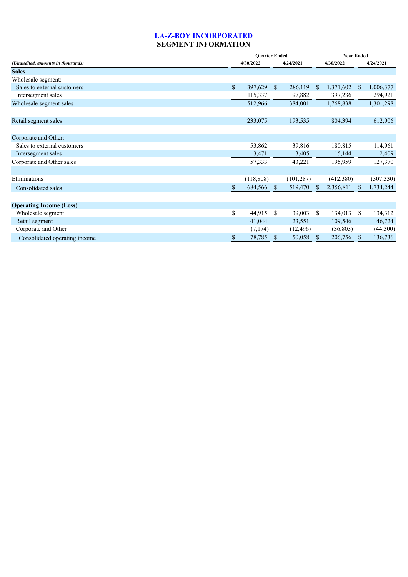# **LA-Z-BOY INCORPORATED SEGMENT INFORMATION**

|                                   |              | <b>Ouarter Ended</b> |               | <b>Year Ended</b> |               |           |               |            |  |
|-----------------------------------|--------------|----------------------|---------------|-------------------|---------------|-----------|---------------|------------|--|
| (Unaudited, amounts in thousands) |              | 4/30/2022            |               | 4/24/2021         |               | 4/30/2022 |               | 4/24/2021  |  |
| <b>Sales</b>                      |              |                      |               |                   |               |           |               |            |  |
| Wholesale segment:                |              |                      |               |                   |               |           |               |            |  |
| Sales to external customers       | $\mathbb{S}$ | 397,629              | <sup>\$</sup> | 286,119           | <sup>\$</sup> | 1,371,602 | <sup>\$</sup> | 1,006,377  |  |
| Intersegment sales                |              | 115,337              |               | 97,882            |               | 397,236   |               | 294,921    |  |
| Wholesale segment sales           |              | 512,966              |               | 384,001           |               | 1,768,838 |               | 1,301,298  |  |
| Retail segment sales              |              | 233,075              |               | 193,535           |               | 804,394   |               | 612,906    |  |
| Corporate and Other:              |              |                      |               |                   |               |           |               |            |  |
| Sales to external customers       |              | 53,862               |               | 39,816            |               | 180,815   |               | 114,961    |  |
| Intersegment sales                |              | 3,471                |               | 3,405             |               | 15,144    |               | 12,409     |  |
| Corporate and Other sales         |              | 57,333               |               | 43,221            |               | 195,959   |               | 127,370    |  |
| Eliminations                      |              | (118, 808)           |               | (101, 287)        |               | (412,380) |               | (307, 330) |  |
| Consolidated sales                |              | 684,566              | \$            | 519,470           | <sup>\$</sup> | 2,356,811 | $\mathbf S$   | 1,734,244  |  |
| <b>Operating Income (Loss)</b>    |              |                      |               |                   |               |           |               |            |  |
| Wholesale segment                 | \$           | 44,915               | <sup>\$</sup> | 39,003            | <sup>\$</sup> | 134,013   | <sup>\$</sup> | 134,312    |  |
| Retail segment                    |              | 41,044               |               | 23,551            |               | 109,546   |               | 46,724     |  |
| Corporate and Other               |              | (7, 174)             |               | (12, 496)         |               | (36, 803) |               | (44,300)   |  |
| Consolidated operating income     | \$           | 78,785               | \$            | 50,058            | -S            | 206,756   |               | 136,736    |  |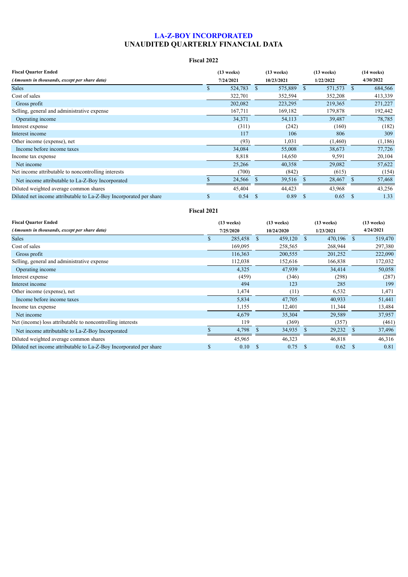# **LA-Z-BOY INCORPORATED UNAUDITED QUARTERLY FINANCIAL DATA**

#### **Fiscal 2022**

| <b>Fiscal Quarter Ended</b>                                        |    | $(13$ weeks) |               | $(13$ weeks) |              | $(13$ weeks) |              | $(14 \text{ weeks})$ |
|--------------------------------------------------------------------|----|--------------|---------------|--------------|--------------|--------------|--------------|----------------------|
| (Amounts in thousands, except per share data)                      |    | 7/24/2021    |               | 10/23/2021   |              | 1/22/2022    |              | 4/30/2022            |
| <b>Sales</b>                                                       | \$ | 524,783      | -8            | 575,889      | <sup>S</sup> | 571,573      | -S           | 684,566              |
| Cost of sales                                                      |    | 322,701      |               | 352,594      |              | 352,208      |              | 413,339              |
| Gross profit                                                       |    | 202,082      |               | 223,295      |              | 219,365      |              | 271,227              |
| Selling, general and administrative expense                        |    | 167,711      |               | 169,182      |              | 179,878      |              | 192,442              |
| Operating income                                                   |    | 34,371       |               | 54,113       |              | 39,487       |              | 78,785               |
| Interest expense                                                   |    | (311)        |               | (242)        |              | (160)        |              | (182)                |
| Interest income                                                    |    | 117          |               | 106          |              | 806          |              | 309                  |
| Other income (expense), net                                        |    | (93)         |               | 1,031        |              | (1,460)      |              | (1,186)              |
| Income before income taxes                                         |    | 34,084       |               | 55,008       |              | 38,673       |              | 77,726               |
| Income tax expense                                                 |    | 8,818        |               | 14,650       |              | 9,591        |              | 20,104               |
| Net income                                                         |    | 25,266       |               | 40,358       |              | 29,082       |              | 57,622               |
| Net income attributable to noncontrolling interests                |    | (700)        |               | (842)        |              | (615)        |              | (154)                |
| Net income attributable to La-Z-Boy Incorporated                   |    | 24,566       | - 55          | 39,516       | <sup>S</sup> | 28,467       | <sup>3</sup> | 57,468               |
| Diluted weighted average common shares                             |    | 45,404       |               | 44,423       |              | 43,968       |              | 43,256               |
| Diluted net income attributable to La-Z-Boy Incorporated per share | \$ | 0.54         | <sup>\$</sup> | 0.89         | S            | 0.65         | \$           | 1.33                 |

# **Fiscal 2021**

| <b>Fiscal Quarter Ended</b>                                        |              | $(13$ weeks) | $(13$ weeks)          | $(13$ weeks)            |    | $(13$ weeks) |
|--------------------------------------------------------------------|--------------|--------------|-----------------------|-------------------------|----|--------------|
| (Amounts in thousands, except per share data)                      |              | 7/25/2020    | 10/24/2020            | 1/23/2021               |    | 4/24/2021    |
| <b>Sales</b>                                                       | \$           | 285,458      | 459,120<br>\$.        | $\mathbf{s}$<br>470,196 | -S | 519,470      |
| Cost of sales                                                      |              | 169,095      | 258,565               | 268,944                 |    | 297,380      |
| Gross profit                                                       |              | 116,363      | 200,555               | 201,252                 |    | 222,090      |
| Selling, general and administrative expense                        |              | 112,038      | 152,616               | 166,838                 |    | 172,032      |
| Operating income                                                   |              | 4,325        | 47,939                | 34,414                  |    | 50,058       |
| Interest expense                                                   |              | (459)        | (346)                 | (298)                   |    | (287)        |
| Interest income                                                    |              | 494          | 123                   | 285                     |    | 199          |
| Other income (expense), net                                        |              | 1,474        | (11)                  | 6,532                   |    | 1,471        |
| Income before income taxes                                         |              | 5,834        | 47,705                | 40,933                  |    | 51,441       |
| Income tax expense                                                 |              | 1,155        | 12,401                | 11,344                  |    | 13,484       |
| Net income                                                         |              | 4,679        | 35,304                | 29,589                  |    | 37,957       |
| Net (income) loss attributable to noncontrolling interests         |              | 119          | (369)                 | (357)                   |    | (461)        |
| Net income attributable to La-Z-Boy Incorporated                   |              | 4,798        | 34,935                | 29,232<br>S             |    | 37,496       |
| Diluted weighted average common shares                             |              | 45,965       | 46,323                | 46,818                  |    | 46,316       |
| Diluted net income attributable to La-Z-Boy Incorporated per share | $\mathbb{S}$ | 0.10         | 0.75<br><sup>\$</sup> | 0.62<br>S               |    | 0.81         |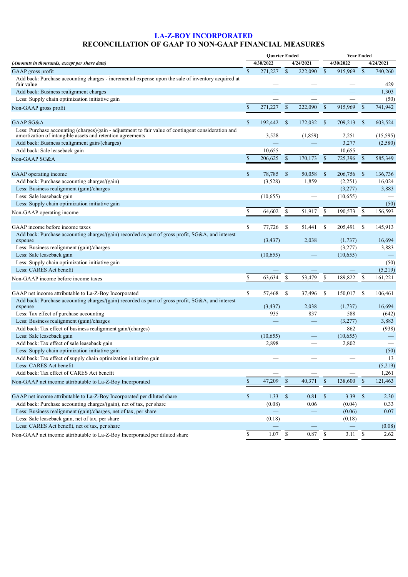# **LA-Z-BOY INCORPORATED RECONCILIATION OF GAAP TO NON-GAAP FINANCIAL MEASURES**

|                                                                                                                                                                   |                                                                       | <b>Quarter Ended</b>                                 |              |                 |                           |                          | <b>Year Ended</b> |                |  |
|-------------------------------------------------------------------------------------------------------------------------------------------------------------------|-----------------------------------------------------------------------|------------------------------------------------------|--------------|-----------------|---------------------------|--------------------------|-------------------|----------------|--|
| (Amounts in thousands, except per share data)                                                                                                                     |                                                                       | 4/30/2022                                            |              | 4/24/2021       |                           | 4/30/2022                |                   | 4/24/2021      |  |
| GAAP gross profit                                                                                                                                                 | $\mathbb{S}$                                                          | 271,227                                              | $\mathbb{S}$ | 222,090         | $\mathbb{S}$              | 915,969                  | $\mathbb{S}$      | 740,260        |  |
| Add back: Purchase accounting charges - incremental expense upon the sale of inventory acquired at<br>fair value                                                  |                                                                       |                                                      |              |                 |                           |                          |                   | 429            |  |
| Add back: Business realignment charges                                                                                                                            |                                                                       |                                                      |              |                 |                           |                          |                   | 1,303          |  |
| Less: Supply chain optimization initiative gain                                                                                                                   |                                                                       |                                                      |              |                 |                           |                          |                   | (50)           |  |
| Non-GAAP gross profit                                                                                                                                             | $\mathbb{S}% _{t}\left( t\right) \equiv\mathbb{S}_{t}\left( t\right)$ | 271,227                                              | $\mathbb{S}$ | 222,090         | $\boldsymbol{\mathsf{S}}$ | 915,969                  | \$                | 741,942        |  |
| <b>GAAP SG&amp;A</b>                                                                                                                                              | $\mathbb{S}$                                                          | 192,442                                              | -S           | 172,032         | - \$                      | 709,213                  | $\mathbb{S}$      | 603,524        |  |
| Less: Purchase accounting (charges)/gain - adjustment to fair value of contingent consideration and<br>amortization of intangible assets and retention agreements |                                                                       | 3,528                                                |              | (1, 859)        |                           | 2,251                    |                   | (15, 595)      |  |
| Add back: Business realignment gain/(charges)                                                                                                                     |                                                                       |                                                      |              |                 |                           | 3,277                    |                   | (2,580)        |  |
| Add back: Sale leaseback gain                                                                                                                                     |                                                                       | 10,655                                               |              |                 |                           | 10,655                   |                   |                |  |
| Non-GAAP SG&A                                                                                                                                                     | \$                                                                    | 206,625                                              | $\mathbb{S}$ | 170,173         | $\mathbb{S}$              | 725,396                  | \$                | 585,349        |  |
| GAAP operating income                                                                                                                                             | \$                                                                    | 78,785                                               | -S           | 50,058          | <sup>\$</sup>             | 206,756                  | $\mathbb{S}$      | 136,736        |  |
| Add back: Purchase accounting charges/(gain)                                                                                                                      |                                                                       | (3,528)                                              |              | 1,859           |                           | (2,251)                  |                   | 16,024         |  |
| Less: Business realignment (gain)/charges                                                                                                                         |                                                                       |                                                      |              |                 |                           | (3,277)                  |                   | 3,883          |  |
| Less: Sale leaseback gain                                                                                                                                         |                                                                       | (10, 655)                                            |              |                 |                           | (10,655)                 |                   |                |  |
| Less: Supply chain optimization initiative gain                                                                                                                   |                                                                       |                                                      |              |                 |                           |                          |                   | (50)           |  |
| Non-GAAP operating income                                                                                                                                         | \$                                                                    | 64,602                                               | \$           | 51,917          | $\mathbb S$               | 190,573                  | $\mathbb{S}$      | 156,593        |  |
| GAAP income before income taxes                                                                                                                                   | \$                                                                    |                                                      | \$           |                 | \$                        |                          |                   |                |  |
| Add back: Purchase accounting charges/(gain) recorded as part of gross profit, SG&A, and interest                                                                 |                                                                       | 77,726                                               |              | 51,441          |                           | 205,491                  | \$                | 145,913        |  |
| expense                                                                                                                                                           |                                                                       | (3, 437)                                             |              | 2,038           |                           | (1,737)                  |                   | 16,694         |  |
| Less: Business realignment (gain)/charges                                                                                                                         |                                                                       |                                                      |              |                 |                           | (3,277)                  |                   | 3,883          |  |
| Less: Sale leaseback gain                                                                                                                                         |                                                                       | (10,655)                                             |              | —               |                           | (10,655)                 |                   |                |  |
| Less: Supply chain optimization initiative gain                                                                                                                   |                                                                       |                                                      |              |                 |                           | $\overline{\phantom{0}}$ |                   | (50)           |  |
| Less: CARES Act benefit                                                                                                                                           |                                                                       |                                                      |              |                 |                           |                          |                   | (5,219)        |  |
| Non-GAAP income before income taxes                                                                                                                               | \$                                                                    | 63,634                                               | $\mathbb{S}$ | 53,479          | $\mathbb{S}$              | 189,822                  | \$                | 161,221        |  |
|                                                                                                                                                                   | \$                                                                    |                                                      |              |                 | \$                        |                          |                   |                |  |
| GAAP net income attributable to La-Z-Boy Incorporated<br>Add back: Purchase accounting charges/(gain) recorded as part of gross profit, SG&A, and interest        |                                                                       | 57,468                                               | \$           | 37,496<br>2,038 |                           | 150,017                  | \$                | 106,461        |  |
| expense<br>Less: Tax effect of purchase accounting                                                                                                                |                                                                       | (3, 437)<br>935                                      |              | 837             |                           | (1,737)<br>588           |                   | 16,694         |  |
| Less: Business realignment (gain)/charges                                                                                                                         |                                                                       |                                                      |              | —               |                           | (3,277)                  |                   | (642)<br>3,883 |  |
| Add back: Tax effect of business realignment gain/(charges)                                                                                                       |                                                                       | $\overline{\phantom{0}}$<br>$\overline{\phantom{0}}$ |              |                 |                           | 862                      |                   | (938)          |  |
| Less: Sale leaseback gain                                                                                                                                         |                                                                       | (10,655)                                             |              |                 |                           | (10, 655)                |                   |                |  |
| Add back: Tax effect of sale leaseback gain                                                                                                                       |                                                                       | 2,898                                                |              |                 |                           | 2,802                    |                   |                |  |
| Less: Supply chain optimization initiative gain                                                                                                                   |                                                                       |                                                      |              |                 |                           |                          |                   | (50)           |  |
| Add back: Tax effect of supply chain optimization initiative gain                                                                                                 |                                                                       |                                                      |              |                 |                           |                          |                   | 13             |  |
| Less: CARES Act benefit                                                                                                                                           |                                                                       |                                                      |              |                 |                           |                          |                   | (5,219)        |  |
| Add back: Tax effect of CARES Act benefit                                                                                                                         |                                                                       |                                                      |              |                 |                           |                          |                   | 1,261          |  |
| Non-GAAP net income attributable to La-Z-Boy Incorporated                                                                                                         | $\mathbb S$                                                           | 47,209                                               | $\mathbb{S}$ | 40,371          | $\mathbb{S}$              | 138,600                  | $\mathbb{S}$      | 121,463        |  |
|                                                                                                                                                                   |                                                                       |                                                      |              |                 |                           |                          |                   |                |  |
| GAAP net income attributable to La-Z-Boy Incorporated per diluted share                                                                                           | $\mathbb{S}$                                                          | 1.33                                                 | \$           | 0.81            | $\mathbb{S}$              | 3.39                     | \$                | 2.30           |  |
| Add back: Purchase accounting charges/(gain), net of tax, per share                                                                                               |                                                                       | (0.08)                                               |              | 0.06            |                           | (0.04)                   |                   | 0.33           |  |
| Less: Business realignment (gain)/charges, net of tax, per share                                                                                                  |                                                                       |                                                      |              |                 |                           | (0.06)                   |                   | 0.07           |  |
| Less: Sale leaseback gain, net of tax, per share                                                                                                                  |                                                                       | (0.18)                                               |              |                 |                           | (0.18)                   |                   |                |  |
| Less: CARES Act benefit, net of tax, per share                                                                                                                    |                                                                       |                                                      |              |                 |                           |                          |                   | (0.08)         |  |
| Non-GAAP net income attributable to La-Z-Boy Incorporated per diluted share                                                                                       | \$                                                                    | $1.07\,$                                             | \$           | 0.87            | \$                        | 3.11                     | \$                | 2.62           |  |